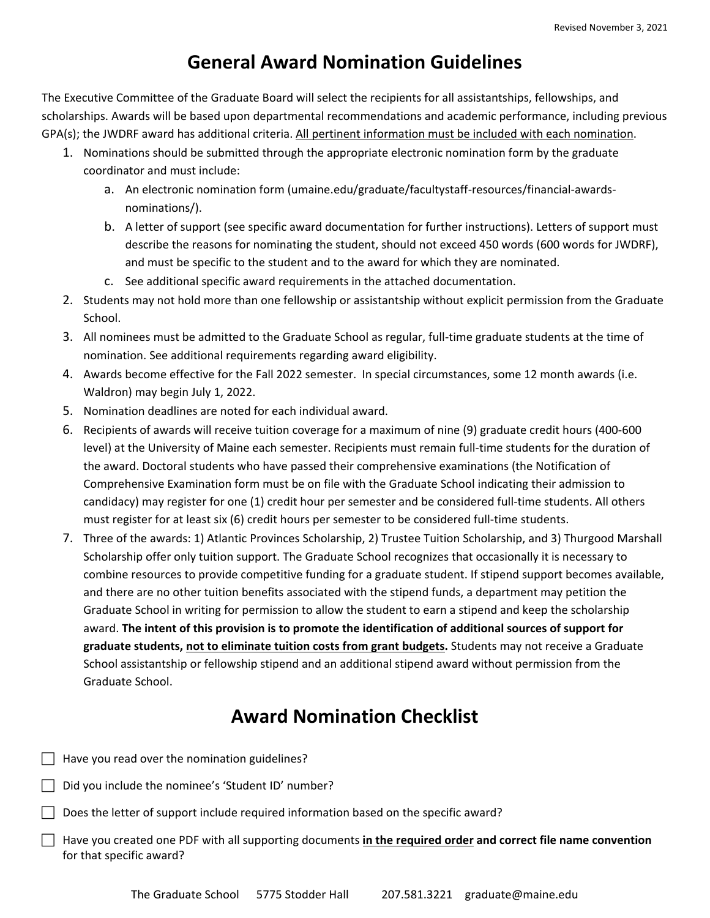## **General Award Nomination Guidelines**

The Executive Committee of the Graduate Board will select the recipients for all assistantships, fellowships, and scholarships. Awards will be based upon departmental recommendations and academic performance, including previous GPA(s); the JWDRF award has additional criteria. All pertinent information must be included with each nomination.

- 1. Nominations should be submitted through the appropriate electronic nomination form by the graduate coordinator and must include:
	- a. An electronic nomination form (umaine.edu/graduate/facultystaff‐resources/financial‐awards‐ nominations/).
	- b. A letter of support (see specific award documentation for further instructions). Letters of support must describe the reasons for nominating the student, should not exceed 450 words (600 words for JWDRF), and must be specific to the student and to the award for which they are nominated.
	- c. See additional specific award requirements in the attached documentation.
- 2. Students may not hold more than one fellowship or assistantship without explicit permission from the Graduate School.
- 3. All nominees must be admitted to the Graduate School as regular, full-time graduate students at the time of nomination. See additional requirements regarding award eligibility.
- 4. Awards become effective for the Fall 2022 semester. In special circumstances, some 12 month awards (i.e. Waldron) may begin July 1, 2022.
- 5. Nomination deadlines are noted for each individual award.
- 6. Recipients of awards will receive tuition coverage for a maximum of nine (9) graduate credit hours (400‐600 level) at the University of Maine each semester. Recipients must remain full‐time students for the duration of the award. Doctoral students who have passed their comprehensive examinations (the Notification of Comprehensive Examination form must be on file with the Graduate School indicating their admission to candidacy) may register for one (1) credit hour per semester and be considered full‐time students. All others must register for at least six (6) credit hours per semester to be considered full-time students.
- 7. Three of the awards: 1) Atlantic Provinces Scholarship, 2) Trustee Tuition Scholarship, and 3) Thurgood Marshall Scholarship offer only tuition support. The Graduate School recognizes that occasionally it is necessary to combine resources to provide competitive funding for a graduate student. If stipend support becomes available, and there are no other tuition benefits associated with the stipend funds, a department may petition the Graduate School in writing for permission to allow the student to earn a stipend and keep the scholarship award. **The intent of this provision is to promote the identification of additional sources of support for graduate students, not to eliminate tuition costs from grant budgets.** Students may not receive a Graduate School assistantship or fellowship stipend and an additional stipend award without permission from the Graduate School.

# **Award Nomination Checklist**

- $\Box$  Have you read over the nomination guidelines?
- $\Box$  Did you include the nominee's 'Student ID' number?
- $\Box$  Does the letter of support include required information based on the specific award?
- Have you created one PDF with all supporting documents **in the required order and correct file name convention** for that specific award?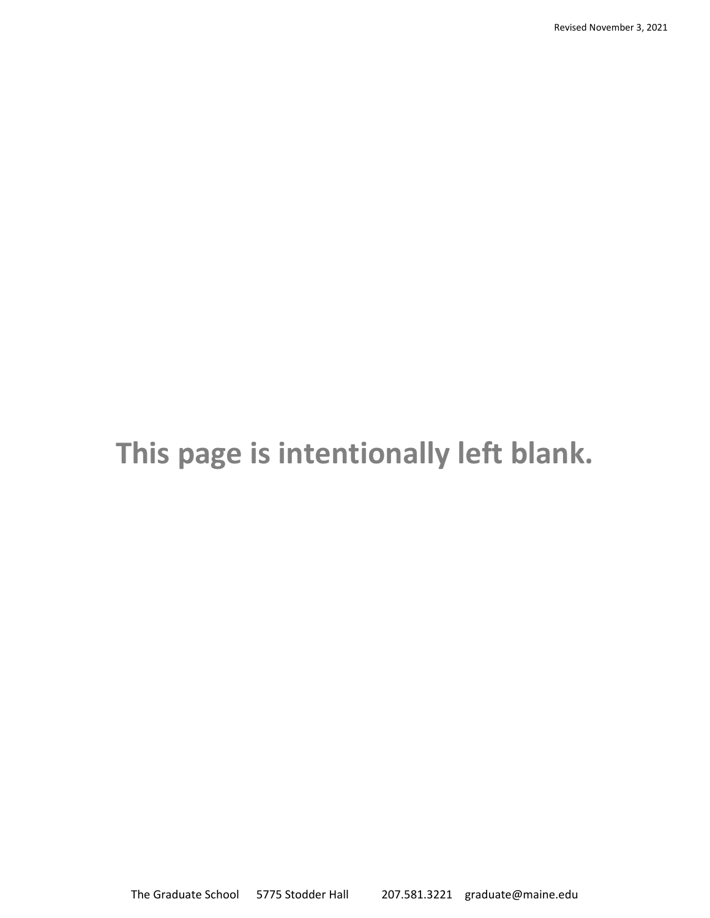Revised November 3, 2021

# **This page is intentionally left blank.**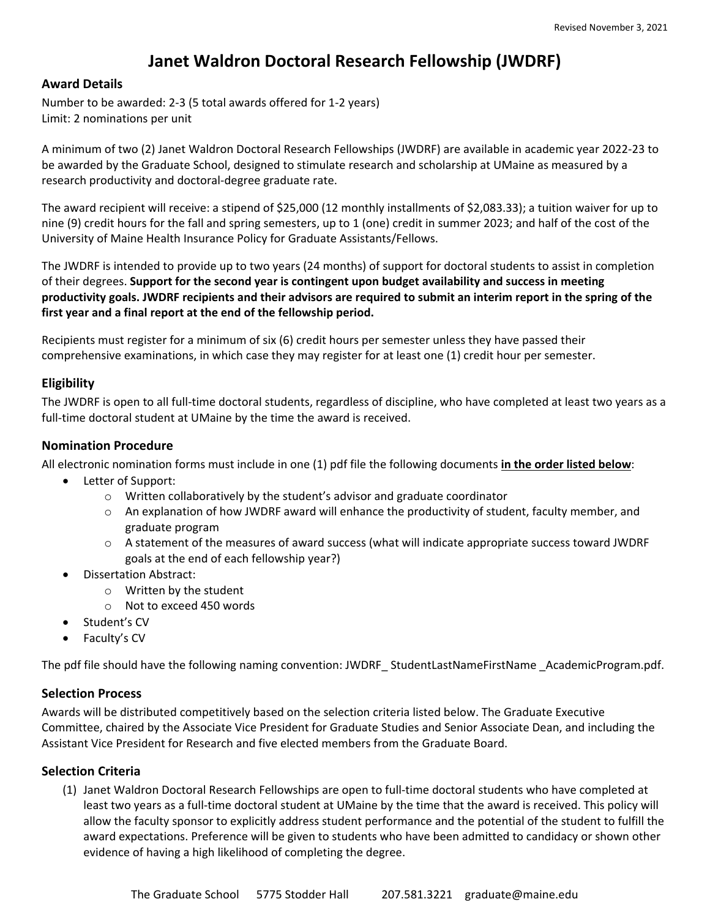### **Janet Waldron Doctoral Research Fellowship (JWDRF)**

### **Award Details**

Number to be awarded: 2‐3 (5 total awards offered for 1‐2 years) Limit: 2 nominations per unit

A minimum of two (2) Janet Waldron Doctoral Research Fellowships (JWDRF) are available in academic year 2022‐23 to be awarded by the Graduate School, designed to stimulate research and scholarship at UMaine as measured by a research productivity and doctoral‐degree graduate rate.

The award recipient will receive: a stipend of \$25,000 (12 monthly installments of \$2,083.33); a tuition waiver for up to nine (9) credit hours for the fall and spring semesters, up to 1 (one) credit in summer 2023; and half of the cost of the University of Maine Health Insurance Policy for Graduate Assistants/Fellows.

The JWDRF is intended to provide up to two years (24 months) of support for doctoral students to assist in completion of their degrees. **Support for the second year is contingent upon budget availability and success in meeting** productivity goals. JWDRF recipients and their advisors are required to submit an interim report in the spring of the **first year and a final report at the end of the fellowship period.**

Recipients must register for a minimum of six (6) credit hours per semester unless they have passed their comprehensive examinations, in which case they may register for at least one (1) credit hour per semester.

### **Eligibility**

The JWDRF is open to all full‐time doctoral students, regardless of discipline, who have completed at least two years as a full-time doctoral student at UMaine by the time the award is received.

### **Nomination Procedure**

All electronic nomination forms must include in one (1) pdf file the following documents **in the order listed below**:

- Letter of Support:
	- o Written collaboratively by the student's advisor and graduate coordinator
	- $\circ$  An explanation of how JWDRF award will enhance the productivity of student, faculty member, and graduate program
	- $\circ$  A statement of the measures of award success (what will indicate appropriate success toward JWDRF goals at the end of each fellowship year?)
- Dissertation Abstract:
	- o Written by the student
	- o Not to exceed 450 words
- Student's CV
- Faculty's CV

The pdf file should have the following naming convention: JWDRF\_StudentLastNameFirstName\_AcademicProgram.pdf.

### **Selection Process**

Awards will be distributed competitively based on the selection criteria listed below. The Graduate Executive Committee, chaired by the Associate Vice President for Graduate Studies and Senior Associate Dean, and including the Assistant Vice President for Research and five elected members from the Graduate Board.

### **Selection Criteria**

(1) Janet Waldron Doctoral Research Fellowships are open to full‐time doctoral students who have completed at least two years as a full‐time doctoral student at UMaine by the time that the award is received. This policy will allow the faculty sponsor to explicitly address student performance and the potential of the student to fulfill the award expectations. Preference will be given to students who have been admitted to candidacy or shown other evidence of having a high likelihood of completing the degree.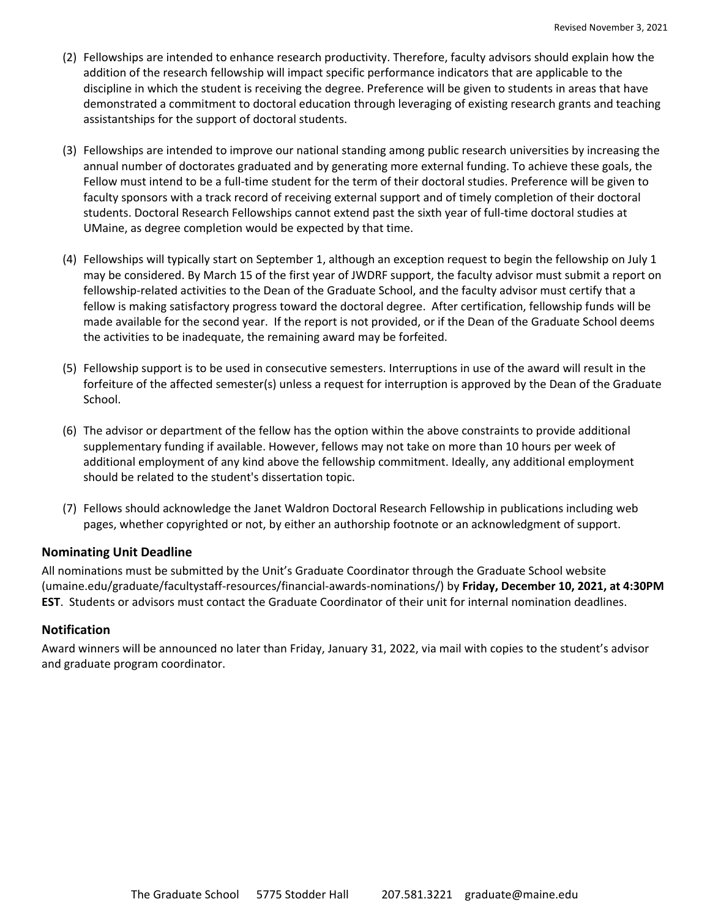- (2) Fellowships are intended to enhance research productivity. Therefore, faculty advisors should explain how the addition of the research fellowship will impact specific performance indicators that are applicable to the discipline in which the student is receiving the degree. Preference will be given to students in areas that have demonstrated a commitment to doctoral education through leveraging of existing research grants and teaching assistantships for the support of doctoral students.
- (3) Fellowships are intended to improve our national standing among public research universities by increasing the annual number of doctorates graduated and by generating more external funding. To achieve these goals, the Fellow must intend to be a full-time student for the term of their doctoral studies. Preference will be given to faculty sponsors with a track record of receiving external support and of timely completion of their doctoral students. Doctoral Research Fellowships cannot extend past the sixth year of full‐time doctoral studies at UMaine, as degree completion would be expected by that time.
- (4) Fellowships will typically start on September 1, although an exception request to begin the fellowship on July 1 may be considered. By March 15 of the first year of JWDRF support, the faculty advisor must submit a report on fellowship‐related activities to the Dean of the Graduate School, and the faculty advisor must certify that a fellow is making satisfactory progress toward the doctoral degree. After certification, fellowship funds will be made available for the second year. If the report is not provided, or if the Dean of the Graduate School deems the activities to be inadequate, the remaining award may be forfeited.
- (5) Fellowship support is to be used in consecutive semesters. Interruptions in use of the award will result in the forfeiture of the affected semester(s) unless a request for interruption is approved by the Dean of the Graduate School.
- (6) The advisor or department of the fellow has the option within the above constraints to provide additional supplementary funding if available. However, fellows may not take on more than 10 hours per week of additional employment of any kind above the fellowship commitment. Ideally, any additional employment should be related to the student's dissertation topic.
- (7) Fellows should acknowledge the Janet Waldron Doctoral Research Fellowship in publications including web pages, whether copyrighted or not, by either an authorship footnote or an acknowledgment of support.

### **Nominating Unit Deadline**

All nominations must be submitted by the Unit's Graduate Coordinator through the Graduate School website (umaine.edu/graduate/facultystaff‐resources/financial‐awards‐nominations/) by **Friday, December 10, 2021, at 4:30PM EST**. Students or advisors must contact the Graduate Coordinator of their unit for internal nomination deadlines.

### **Notification**

Award winners will be announced no later than Friday, January 31, 2022, via mail with copies to the student's advisor and graduate program coordinator.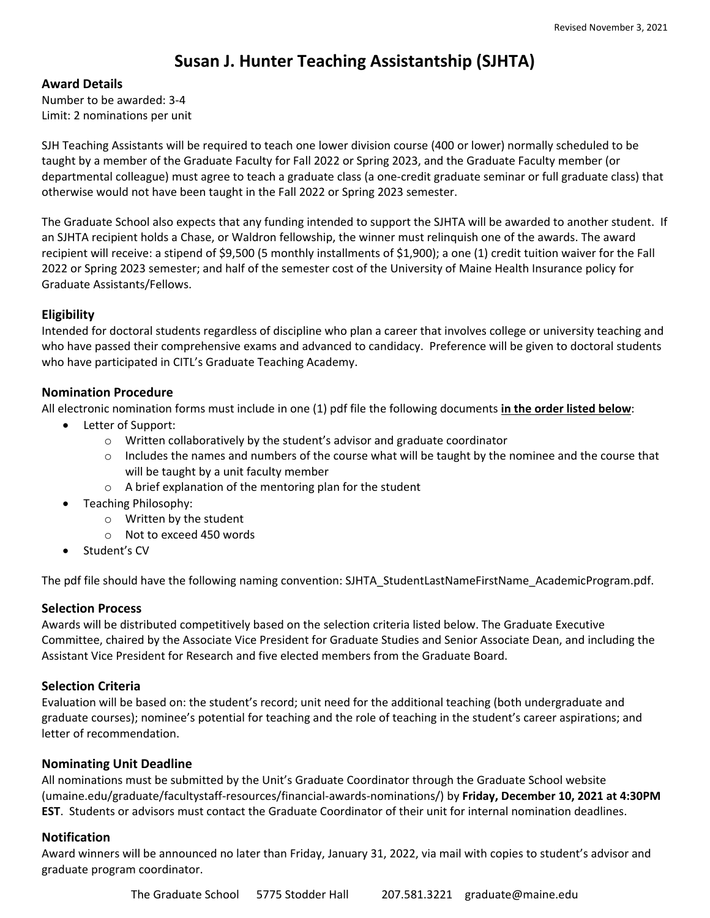### **Susan J. Hunter Teaching Assistantship (SJHTA)**

### **Award Details**

Number to be awarded: 3‐4 Limit: 2 nominations per unit

SJH Teaching Assistants will be required to teach one lower division course (400 or lower) normally scheduled to be taught by a member of the Graduate Faculty for Fall 2022 or Spring 2023, and the Graduate Faculty member (or departmental colleague) must agree to teach a graduate class (a one‐credit graduate seminar or full graduate class) that otherwise would not have been taught in the Fall 2022 or Spring 2023 semester.

The Graduate School also expects that any funding intended to support the SJHTA will be awarded to another student. If an SJHTA recipient holds a Chase, or Waldron fellowship, the winner must relinquish one of the awards. The award recipient will receive: a stipend of \$9,500 (5 monthly installments of \$1,900); a one (1) credit tuition waiver for the Fall 2022 or Spring 2023 semester; and half of the semester cost of the University of Maine Health Insurance policy for Graduate Assistants/Fellows.

### **Eligibility**

Intended for doctoral students regardless of discipline who plan a career that involves college or university teaching and who have passed their comprehensive exams and advanced to candidacy. Preference will be given to doctoral students who have participated in CITL's Graduate Teaching Academy.

### **Nomination Procedure**

All electronic nomination forms must include in one (1) pdf file the following documents **in the order listed below**:

- Letter of Support:
	- o Written collaboratively by the student's advisor and graduate coordinator
	- $\circ$  Includes the names and numbers of the course what will be taught by the nominee and the course that will be taught by a unit faculty member
	- $\circ$  A brief explanation of the mentoring plan for the student
- Teaching Philosophy:
	- o Written by the student
	- o Not to exceed 450 words
- Student's CV

The pdf file should have the following naming convention: SJHTA\_StudentLastNameFirstName\_AcademicProgram.pdf.

### **Selection Process**

Awards will be distributed competitively based on the selection criteria listed below. The Graduate Executive Committee, chaired by the Associate Vice President for Graduate Studies and Senior Associate Dean, and including the Assistant Vice President for Research and five elected members from the Graduate Board.

### **Selection Criteria**

Evaluation will be based on: the student's record; unit need for the additional teaching (both undergraduate and graduate courses); nominee's potential for teaching and the role of teaching in the student's career aspirations; and letter of recommendation.

### **Nominating Unit Deadline**

All nominations must be submitted by the Unit's Graduate Coordinator through the Graduate School website (umaine.edu/graduate/facultystaff‐resources/financial‐awards‐nominations/) by **Friday, December 10, 2021 at 4:30PM EST**. Students or advisors must contact the Graduate Coordinator of their unit for internal nomination deadlines.

### **Notification**

Award winners will be announced no later than Friday, January 31, 2022, via mail with copies to student's advisor and graduate program coordinator.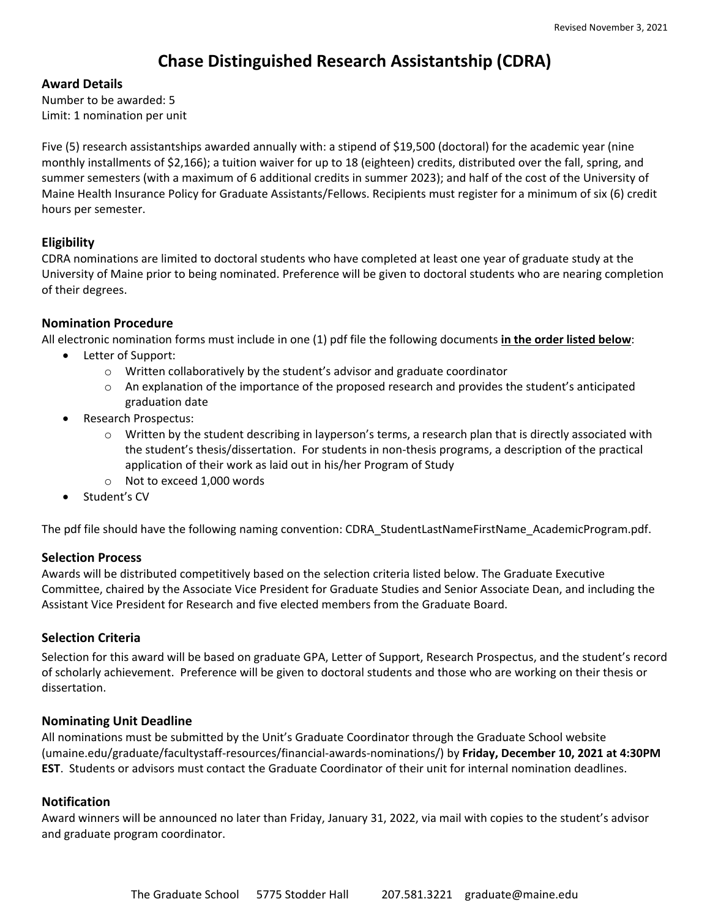### **Chase Distinguished Research Assistantship (CDRA)**

### **Award Details**

Number to be awarded: 5 Limit: 1 nomination per unit

Five (5) research assistantships awarded annually with: a stipend of \$19,500 (doctoral) for the academic year (nine monthly installments of \$2,166); a tuition waiver for up to 18 (eighteen) credits, distributed over the fall, spring, and summer semesters (with a maximum of 6 additional credits in summer 2023); and half of the cost of the University of Maine Health Insurance Policy for Graduate Assistants/Fellows. Recipients must register for a minimum of six (6) credit hours per semester.

### **Eligibility**

CDRA nominations are limited to doctoral students who have completed at least one year of graduate study at the University of Maine prior to being nominated. Preference will be given to doctoral students who are nearing completion of their degrees.

### **Nomination Procedure**

All electronic nomination forms must include in one (1) pdf file the following documents **in the order listed below**:

- Letter of Support:
	- $\circ$  Written collaboratively by the student's advisor and graduate coordinator
	- $\circ$  An explanation of the importance of the proposed research and provides the student's anticipated graduation date
- Research Prospectus:
	- $\circ$  Written by the student describing in layperson's terms, a research plan that is directly associated with the student's thesis/dissertation. For students in non-thesis programs, a description of the practical application of their work as laid out in his/her Program of Study
	- o Not to exceed 1,000 words
- Student's CV

The pdf file should have the following naming convention: CDRA\_StudentLastNameFirstName\_AcademicProgram.pdf.

### **Selection Process**

Awards will be distributed competitively based on the selection criteria listed below. The Graduate Executive Committee, chaired by the Associate Vice President for Graduate Studies and Senior Associate Dean, and including the Assistant Vice President for Research and five elected members from the Graduate Board.

### **Selection Criteria**

Selection for this award will be based on graduate GPA, Letter of Support, Research Prospectus, and the student's record of scholarly achievement. Preference will be given to doctoral students and those who are working on their thesis or dissertation.

### **Nominating Unit Deadline**

All nominations must be submitted by the Unit's Graduate Coordinator through the Graduate School website (umaine.edu/graduate/facultystaff‐resources/financial‐awards‐nominations/) by **Friday, December 10, 2021 at 4:30PM EST**. Students or advisors must contact the Graduate Coordinator of their unit for internal nomination deadlines.

### **Notification**

Award winners will be announced no later than Friday, January 31, 2022, via mail with copies to the student's advisor and graduate program coordinator.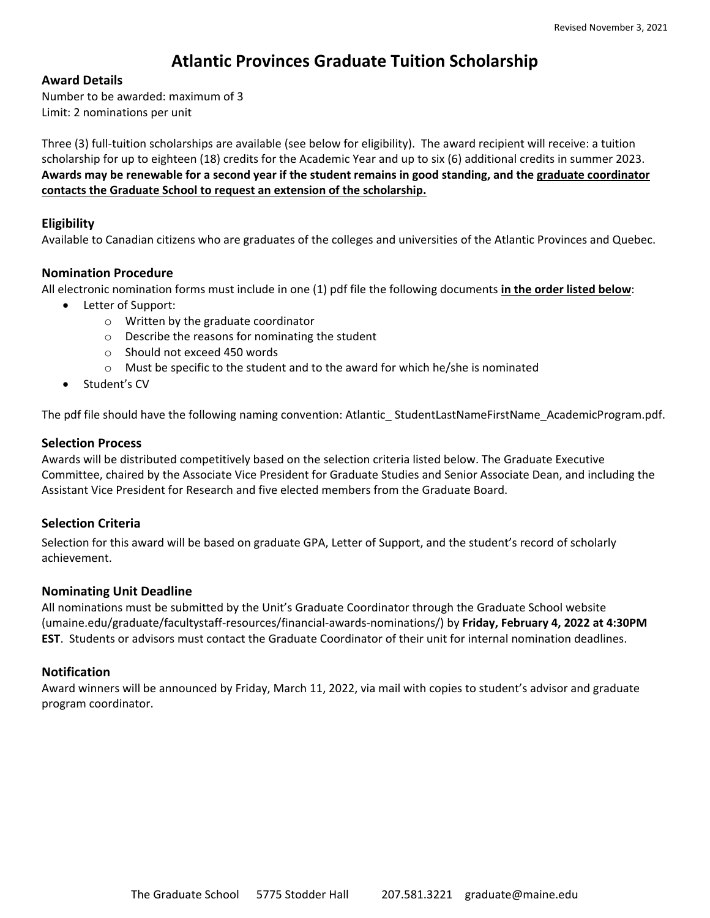### **Atlantic Provinces Graduate Tuition Scholarship**

### **Award Details**

Number to be awarded: maximum of 3 Limit: 2 nominations per unit

Three (3) full‐tuition scholarships are available (see below for eligibility). The award recipient will receive: a tuition scholarship for up to eighteen (18) credits for the Academic Year and up to six (6) additional credits in summer 2023. Awards may be renewable for a second year if the student remains in good standing, and the graduate coordinator **contacts the Graduate School to request an extension of the scholarship.**

### **Eligibility**

Available to Canadian citizens who are graduates of the colleges and universities of the Atlantic Provinces and Quebec.

### **Nomination Procedure**

All electronic nomination forms must include in one (1) pdf file the following documents **in the order listed below**:

- Letter of Support:
	- o Written by the graduate coordinator
	- o Describe the reasons for nominating the student
	- o Should not exceed 450 words
	- $\circ$  Must be specific to the student and to the award for which he/she is nominated
- Student's CV

The pdf file should have the following naming convention: Atlantic\_StudentLastNameFirstName\_AcademicProgram.pdf.

### **Selection Process**

Awards will be distributed competitively based on the selection criteria listed below. The Graduate Executive Committee, chaired by the Associate Vice President for Graduate Studies and Senior Associate Dean, and including the Assistant Vice President for Research and five elected members from the Graduate Board.

### **Selection Criteria**

Selection for this award will be based on graduate GPA, Letter of Support, and the student's record of scholarly achievement.

### **Nominating Unit Deadline**

All nominations must be submitted by the Unit's Graduate Coordinator through the Graduate School website (umaine.edu/graduate/facultystaff‐resources/financial‐awards‐nominations/) by **Friday, February 4, 2022 at 4:30PM EST**. Students or advisors must contact the Graduate Coordinator of their unit for internal nomination deadlines.

### **Notification**

Award winners will be announced by Friday, March 11, 2022, via mail with copies to student's advisor and graduate program coordinator.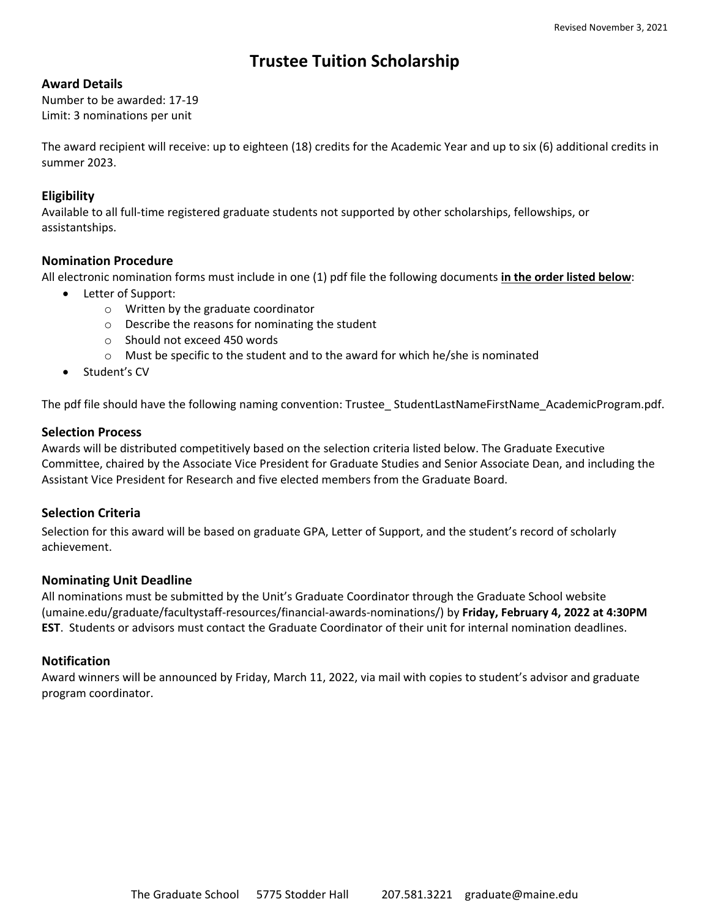### **Trustee Tuition Scholarship**

### **Award Details**

Number to be awarded: 17‐19 Limit: 3 nominations per unit

The award recipient will receive: up to eighteen (18) credits for the Academic Year and up to six (6) additional credits in summer 2023.

### **Eligibility**

Available to all full‐time registered graduate students not supported by other scholarships, fellowships, or assistantships.

### **Nomination Procedure**

All electronic nomination forms must include in one (1) pdf file the following documents **in the order listed below**:

- Letter of Support:
	- o Written by the graduate coordinator
	- o Describe the reasons for nominating the student
	- o Should not exceed 450 words
	- o Must be specific to the student and to the award for which he/she is nominated
- Student's CV

The pdf file should have the following naming convention: Trustee\_StudentLastNameFirstName\_AcademicProgram.pdf.

### **Selection Process**

Awards will be distributed competitively based on the selection criteria listed below. The Graduate Executive Committee, chaired by the Associate Vice President for Graduate Studies and Senior Associate Dean, and including the Assistant Vice President for Research and five elected members from the Graduate Board.

### **Selection Criteria**

Selection for this award will be based on graduate GPA, Letter of Support, and the student's record of scholarly achievement.

### **Nominating Unit Deadline**

All nominations must be submitted by the Unit's Graduate Coordinator through the Graduate School website (umaine.edu/graduate/facultystaff‐resources/financial‐awards‐nominations/) by **Friday, February 4, 2022 at 4:30PM EST**. Students or advisors must contact the Graduate Coordinator of their unit for internal nomination deadlines.

### **Notification**

Award winners will be announced by Friday, March 11, 2022, via mail with copies to student's advisor and graduate program coordinator.